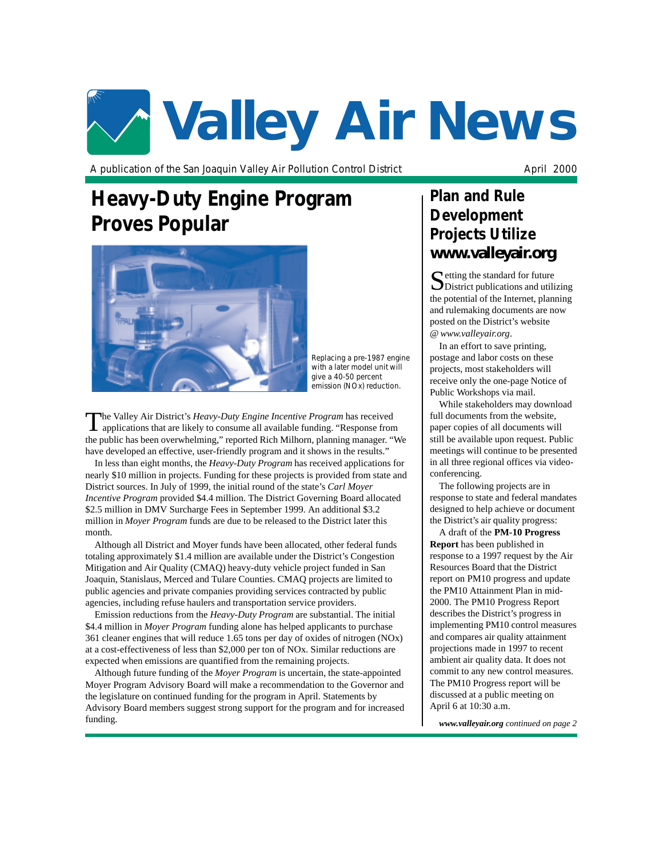# **Valley Air News**

A publication of the San Joaquin Valley Air Pollution Control District April 2000

## **Heavy-Duty Engine Program Proves Popular**



*Replacing a pre-1987 engine with a later model unit will give a 40-50 percent emission (NOx) reduction.*

The Valley Air District's *Heavy-Duty Engine Incentive Program* has received applications that are likely to consume all available funding. "Response from the public has been overwhelming," reported Rich Milhorn, planning manager. "We have developed an effective, user-friendly program and it shows in the results.'

In less than eight months, the *Heavy-Duty Program* has received applications for nearly \$10 million in projects. Funding for these projects is provided from state and District sources. In July of 1999, the initial round of the state's *Carl Moyer Incentive Program* provided \$4.4 million. The District Governing Board allocated \$2.5 million in DMV Surcharge Fees in September 1999. An additional \$3.2 million in *Moyer Program* funds are due to be released to the District later this month.

Although all District and Moyer funds have been allocated, other federal funds totaling approximately \$1.4 million are available under the District's Congestion Mitigation and Air Quality (CMAQ) heavy-duty vehicle project funded in San Joaquin, Stanislaus, Merced and Tulare Counties. CMAQ projects are limited to public agencies and private companies providing services contracted by public agencies, including refuse haulers and transportation service providers.

Emission reductions from the *Heavy-Duty Program* are substantial. The initial \$4.4 million in *Moyer Program* funding alone has helped applicants to purchase 361 cleaner engines that will reduce 1.65 tons per day of oxides of nitrogen (NOx) at a cost-effectiveness of less than \$2,000 per ton of NOx. Similar reductions are expected when emissions are quantified from the remaining projects.

Although future funding of the *Moyer Program* is uncertain, the state-appointed Moyer Program Advisory Board will make a recommendation to the Governor and the legislature on continued funding for the program in April. Statements by Advisory Board members suggest strong support for the program and for increased funding.

## **Plan and Rule Development Projects Utilize** *www.valleyair.org*

 $\Gamma$  etting the standard for future District publications and utilizing the potential of the Internet, planning and rulemaking documents are now posted on the District's website @ *www.valleyair.org*.

In an effort to save printing, postage and labor costs on these projects, most stakeholders will receive only the one-page Notice of Public Workshops via mail.

While stakeholders may download full documents from the website, paper copies of all documents will still be available upon request. Public meetings will continue to be presented in all three regional offices via videoconferencing.

The following projects are in response to state and federal mandates designed to help achieve or document the District's air quality progress:

A draft of the **PM-10 Progress Report** has been published in response to a 1997 request by the Air Resources Board that the District report on PM10 progress and update the PM10 Attainment Plan in mid-2000. The PM10 Progress Report describes the District's progress in implementing PM10 control measures and compares air quality attainment projections made in 1997 to recent ambient air quality data. It does not commit to any new control measures. The PM10 Progress report will be discussed at a public meeting on April 6 at 10:30 a.m.

*www.valleyair.org continued on page 2*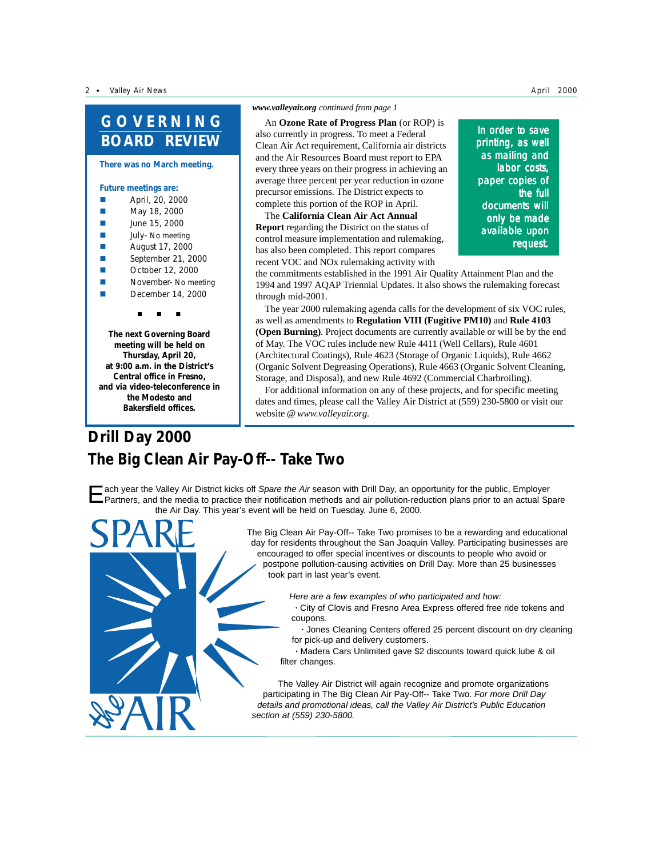**There was no March meeting.**

#### **Future meetings are:**

- April, 20, 2000
- **May 18, 2000**
- **Mark 3** June 15, 2000
- **E** July- No meeting
- **E** August 17, 2000
- $\blacksquare$  September 21, 2000
- **Example 2000** October 12, 2000
- **November- No meeting**
- $\blacksquare$  December 14, 2000

"#""#""#

**The next Governing Board meeting will be held on Thursday, April 20, at 9:00 a.m. in the District's Central office in Fresno, and via video-teleconference in the Modesto and Bakersfield offices.**

#### *www.valleyair.org continued from page 1*

An **Ozone Rate of Progress Plan** (or ROP) is also currently in progress. To meet a Federal Clean Air Act requirement, California air districts and the Air Resources Board must report to EPA every three years on their progress in achieving an average three percent per year reduction in ozone precursor emissions. The District expects to complete this portion of the ROP in April.

The **California Clean Air Act Annual Report** regarding the District on the status of control measure implementation and rulemaking, has also been completed. This report compares recent VOC and NOx rulemaking activity with

In order to save printing, as well as mailing and labor costs, paper copies of the full documents will only be made available upon request.

the commitments established in the 1991 Air Quality Attainment Plan and the 1994 and 1997 AQAP Triennial Updates. It also shows the rulemaking forecast through mid-2001.

The year 2000 rulemaking agenda calls for the development of six VOC rules, as well as amendments to **Regulation VIII (Fugitive PM10)** and **Rule 4103 (Open Burning)**. Project documents are currently available or will be by the end of May. The VOC rules include new Rule 4411 (Well Cellars), Rule 4601 (Architectural Coatings), Rule 4623 (Storage of Organic Liquids), Rule 4662 (Organic Solvent Degreasing Operations), Rule 4663 (Organic Solvent Cleaning, Storage, and Disposal), and new Rule 4692 (Commercial Charbroiling).

For additional information on any of these projects, and for specific meeting dates and times, please call the Valley Air District at (559) 230-5800 or visit our website @ *www.valleyair.org.*

## **Drill Day 2000 The Big Clean Air Pay-Off-- Take Two**

ach year the Valley Air District kicks off Spare the Air season with Drill Day, an opportunity for the public, Employer Partners, and the media to practice their notification methods and air pollution-reduction plans prior to an actual Spare the Air Day. This year's event will be held on Tuesday, June 6, 2000.

> The Big Clean Air Pay-Off-- Take Two promises to be a rewarding and educational day for residents throughout the San Joaquin Valley. Participating businesses are encouraged to offer special incentives or discounts to people who avoid or postpone pollution-causing activities on Drill Day. More than 25 businesses took part in last year's event.

> > Here are a few examples of who participated and how:

**·** City of Clovis and Fresno Area Express offered free ride tokens and coupons.

**·** Jones Cleaning Centers offered 25 percent discount on dry cleaning for pick-up and delivery customers.

**·** Madera Cars Unlimited gave \$2 discounts toward quick lube & oil filter changes.

The Valley Air District will again recognize and promote organizations participating in The Big Clean Air Pay-Off-- Take Two. For more Drill Day details and promotional ideas, call the Valley Air District's Public Education section at (559) 230-5800.